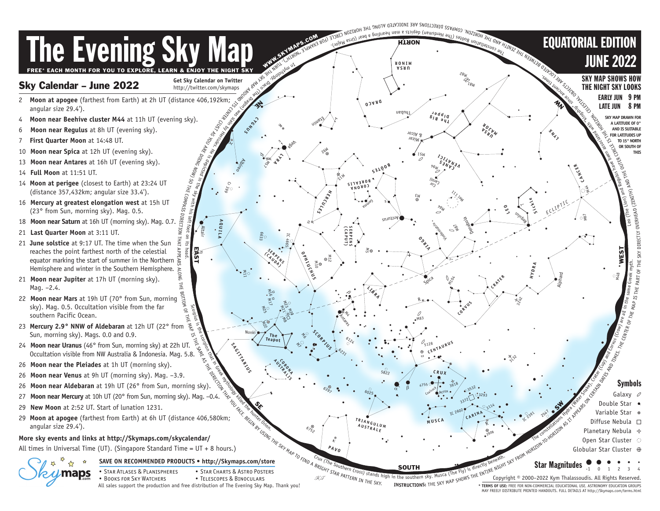